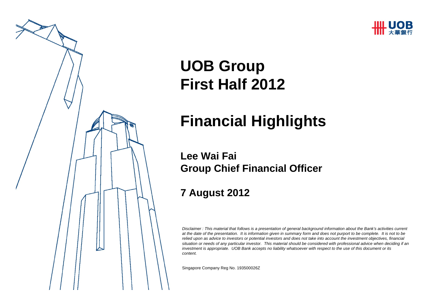



# **UOB Group First Half 2012**

# **Financial Highlights**

#### **Lee Wai FaiGroup Chief Financial Officer**

#### **7 August 2012**

*Disclaimer : This material that follows is a presentation of general background information about the Bank's activities current at the date of the presentation. It is information given in summary form and does not purport to be complete. It is not to be relied upon as advice to investors or potential investors and does not take into account the investment objectives, financial situation or needs of any particular investor. This material should be considered with professional advice when deciding if an investment is appropriate. UOB Bank accepts no liability whatsoever with respect to the use of this document or its content.*

Singapore Company Reg No. 193500026Z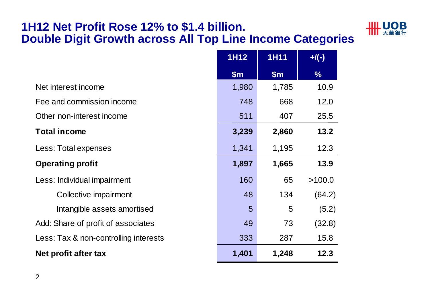#### **1H12 Net Profit Rose 12% to \$1.4 billion. Double Digit Growth across All Top Line Income Categories**

| <b>JIIL UOB</b><br>    大華銀行 |
|-----------------------------|
|-----------------------------|

|                                       | <b>1H12</b> | <b>1H11</b> | $+$ /(-)      |
|---------------------------------------|-------------|-------------|---------------|
|                                       | \$m\$       | \$m\$       | $\frac{9}{6}$ |
| Net interest income                   | 1,980       | 1,785       | 10.9          |
| Fee and commission income             | 748         | 668         | 12.0          |
| Other non-interest income             | 511         | 407         | 25.5          |
| <b>Total income</b>                   | 3,239       | 2,860       | 13.2          |
| Less: Total expenses                  | 1,341       | 1,195       | 12.3          |
| <b>Operating profit</b>               | 1,897       | 1,665       | 13.9          |
| Less: Individual impairment           | 160         | 65          | >100.0        |
| Collective impairment                 | 48          | 134         | (64.2)        |
| Intangible assets amortised           | 5           | 5           | (5.2)         |
| Add: Share of profit of associates    | 49          | 73          | (32.8)        |
| Less: Tax & non-controlling interests | 333         | 287         | 15.8          |
| Net profit after tax                  | 1,401       | 1,248       | 12.3          |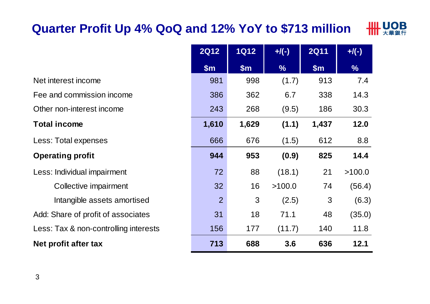# **Quarter Profit Up 4% QoQ and 12% YoY to \$713 million**



|                                       | <b>2Q12</b>    | <b>1Q12</b>   | $+$ /(-)      | <b>2Q11</b> | $+$ /(-)      |
|---------------------------------------|----------------|---------------|---------------|-------------|---------------|
|                                       | \$m\$          | $\mathsf{Sm}$ | $\frac{9}{6}$ | \$m\$       | $\frac{9}{6}$ |
| Net interest income                   | 981            | 998           | (1.7)         | 913         | 7.4           |
| Fee and commission income             | 386            | 362           | 6.7           | 338         | 14.3          |
| Other non-interest income             | 243            | 268           | (9.5)         | 186         | 30.3          |
| <b>Total income</b>                   | 1,610          | 1,629         | (1.1)         | 1,437       | 12.0          |
| Less: Total expenses                  | 666            | 676           | (1.5)         | 612         | 8.8           |
| <b>Operating profit</b>               | 944            | 953           | (0.9)         | 825         | 14.4          |
| Less: Individual impairment           | 72             | 88            | (18.1)        | 21          | >100.0        |
| Collective impairment                 | 32             | 16            | >100.0        | 74          | (56.4)        |
| Intangible assets amortised           | $\overline{2}$ | 3             | (2.5)         | 3           | (6.3)         |
| Add: Share of profit of associates    | 31             | 18            | 71.1          | 48          | (35.0)        |
| Less: Tax & non-controlling interests | 156            | 177           | (11.7)        | 140         | 11.8          |
| Net profit after tax                  | 713            | 688           | 3.6           | 636         | 12.1          |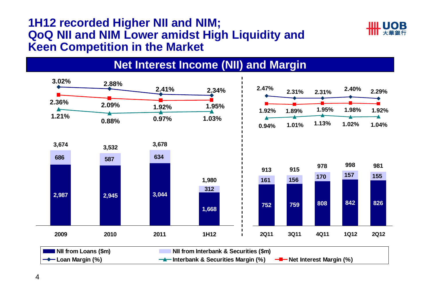#### **1H12 recorded Higher NII and NIM; QoQ NII and NIM Lower amidst High Liquidity and Keen Competition in the Market**





**Net Interest Income (NII) and Margin**

**—◆** Loan Margin (%) <del>4</del> Interbank & Securities Margin (%) <del>I</del> Net Interest Margin (%)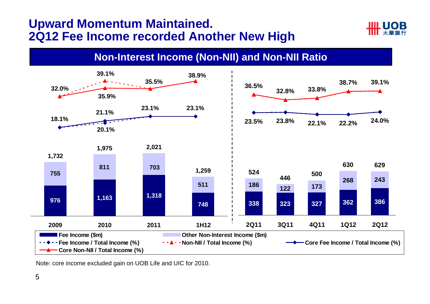#### **Upward Momentum Maintained. 2Q12 Fee Income recorded Another New High**



#### **Non-Interest Income (Non-NII) and Non-NII Ratio**



Note: core income excluded gain on UOB Life and UIC for 2010.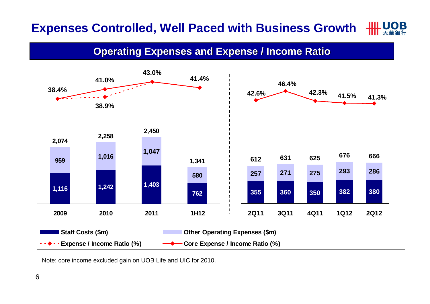#### **IIII LIOR Expenses Controlled, Well Paced with Business Growth**

**Operating Expenses and Expense / Income Ratio** 



Note: core income excluded gain on UOB Life and UIC for 2010.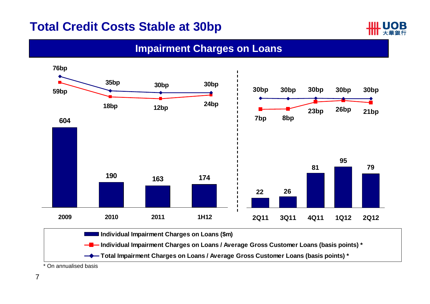### **Total Credit Costs Stable at 30bp**



#### **Impairment Charges on Loans**



\* On annualised basis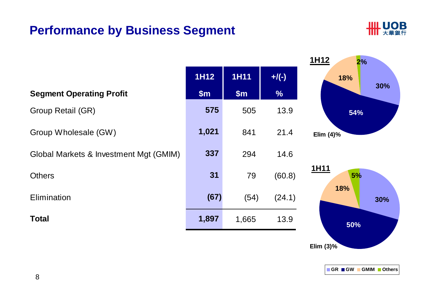## **Performance by Business Segment**



|                                        |       |             |               | 1H12<br>2%   |
|----------------------------------------|-------|-------------|---------------|--------------|
|                                        | 1H12  | <b>1H11</b> | $+$ /(-)      | 18%          |
| <b>Segment Operating Profit</b>        | \$m\$ | \$m\$       | $\frac{9}{6}$ | 30%          |
| Group Retail (GR)                      | 575   | 505         | 13.9          | 54%          |
| Group Wholesale (GW)                   | 1,021 | 841         | 21.4          | Elim $(4)$ % |
| Global Markets & Investment Mgt (GMIM) | 337   | 294         | 14.6          |              |
| <b>Others</b>                          | 31    | 79          | (60.8)        | 1H11<br>5%   |
| Elimination                            | (67)  | (54)        | (24.1)        | 18%<br>30%   |
| <b>Total</b>                           | 1,897 | 1,665       | 13.9          | 50%          |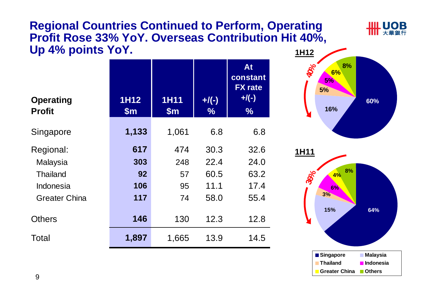#### **Regional Countries Continued to Perform, Operating Profit Rose 33% YoY. Overseas Contribution Hit 40%, Up 4% points YoY. 1H12**

| <b>Operating</b><br><b>Profit</b> | <b>1H12</b><br>$\mathsf{Sm}$ | <b>1H11</b><br>$\mathsf{Sm}$ | $+$ /(-)<br>$\frac{9}{6}$ | At<br>constant<br><b>FX</b> rate<br>$+$ /(-)<br>$\frac{9}{6}$ |
|-----------------------------------|------------------------------|------------------------------|---------------------------|---------------------------------------------------------------|
| Singapore                         | 1,133                        | 1,061                        | 6.8                       | 6.8                                                           |
| Regional:                         | 617                          | 474                          | 30.3                      | 32.6                                                          |
| Malaysia                          | 303                          | 248                          | 22.4                      | 24.0                                                          |
| <b>Thailand</b>                   | 92                           | 57                           | 60.5                      | 63.2                                                          |
| Indonesia                         | 106                          | 95                           | 11.1                      | 17.4                                                          |
| <b>Greater China</b>              | 117                          | 74                           | 58.0                      | 55.4                                                          |
| <b>Others</b>                     | 146                          | 130                          | 12.3                      | 12.8                                                          |
| Total                             | 1,897                        | 1,665                        | 13.9                      | 14.5                                                          |



**UOB** 

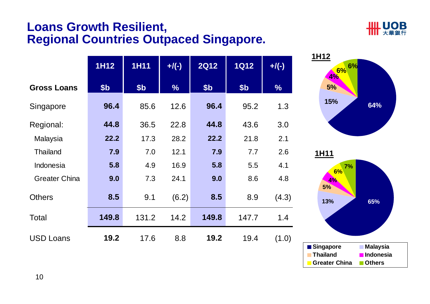#### **Loans Growth Resilient, Regional Countries Outpaced Singapore.**

**1H12 1H11 +/(-) 2Q12 1Q12 +/(-)**



| <b>1H11</b><br>7%<br>6%<br>4%<br>5%<br>13% | 65%                        |
|--------------------------------------------|----------------------------|
| Singapore                                  | <b>Malaysia</b>            |
| <b>Thailand</b><br><b>Greater China</b>    | Indonesia<br><b>Others</b> |

**15%**

**5%**

**1H12**

 $(1.0)$ 

**4%**

| <b>Gross Loans</b>   | \$ <sub>b</sub> | \$ <sub>b</sub> | $\frac{0}{6}$ | \$ <sub>b</sub> | \$ <sub>b</sub> | $\frac{9}{6}$ |
|----------------------|-----------------|-----------------|---------------|-----------------|-----------------|---------------|
| Singapore            | 96.4            | 85.6            | 12.6          | 96.4            | 95.2            | 1.3           |
| Regional:            | 44.8            | 36.5            | 22.8          | 44.8            | 43.6            | 3.0           |
| Malaysia             | 22.2            | 17.3            | 28.2          | 22.2            | 21.8            | 2.1           |
| <b>Thailand</b>      | 7.9             | 7.0             | 12.1          | 7.9             | 7.7             | 2.6           |
| Indonesia            | 5.8             | 4.9             | 16.9          | 5.8             | 5.5             | 4.1           |
| <b>Greater China</b> | 9.0             | 7.3             | 24.1          | 9.0             | 8.6             | 4.8           |
| <b>Others</b>        | 8.5             | 9.1             | (6.2)         | 8.5             | 8.9             | (4.3)         |
| Total                | 149.8           | 131.2           | 14.2          | 149.8           | 147.7           | 1.4           |
| <b>USD Loans</b>     | 19.2            | 17.6            | 8.8           | 19.2            | 19.4            | (1.0)         |

10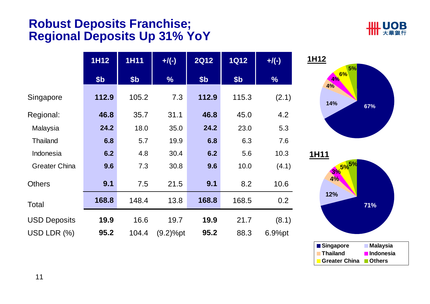#### **Robust Deposits Franchise; Regional Deposits Up 31% YoY**



|                      | 1H12            | <b>1H11</b>     | $+$ /(-)      | <b>2Q12</b> | <b>1Q12</b>     | $+/(-)$       |
|----------------------|-----------------|-----------------|---------------|-------------|-----------------|---------------|
|                      | \$ <sub>b</sub> | \$ <sub>b</sub> | $\frac{0}{6}$ | \$b         | \$ <sub>b</sub> | $\frac{0}{6}$ |
| Singapore            | 112.9           | 105.2           | 7.3           | 112.9       | 115.3           | (2.1)         |
| Regional:            | 46.8            | 35.7            | 31.1          | 46.8        | 45.0            | 4.2           |
| Malaysia             | 24.2            | 18.0            | 35.0          | 24.2        | 23.0            | 5.3           |
| <b>Thailand</b>      | 6.8             | 5.7             | 19.9          | 6.8         | 6.3             | 7.6           |
| Indonesia            | 6.2             | 4.8             | 30.4          | 6.2         | 5.6             | 10.3          |
| <b>Greater China</b> | 9.6             | 7.3             | 30.8          | 9.6         | 10.0            | (4.1)         |
| <b>Others</b>        | 9.1             | 7.5             | 21.5          | 9.1         | 8.2             | 10.6          |
| Total                | 168.8           | 148.4           | 13.8          | 168.8       | 168.5           | 0.2           |
| <b>USD Deposits</b>  | 19.9            | 16.6            | 19.7          | 19.9        | 21.7            | (8.1)         |
| USD LDR (%)          | 95.2            | 104.4           | (9.2)%pt      | 95.2        | 88.3            | 6.9%pt        |



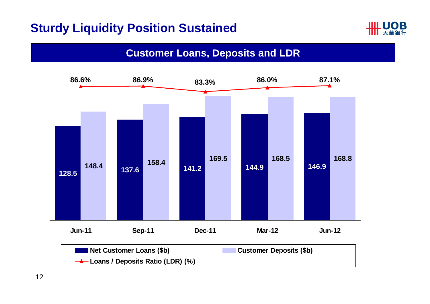## **Sturdy Liquidity Position Sustained**



#### **Customer Loans, Deposits and LDR**

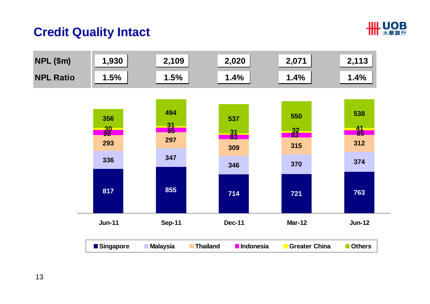# **HH UOB**

#### **Credit Quality Intact**

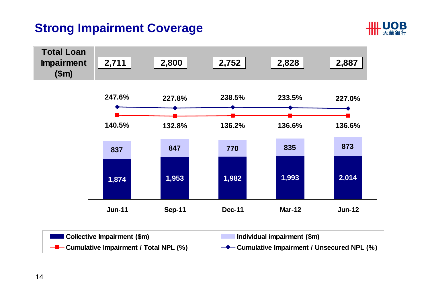# **Strong Impairment Coverage**



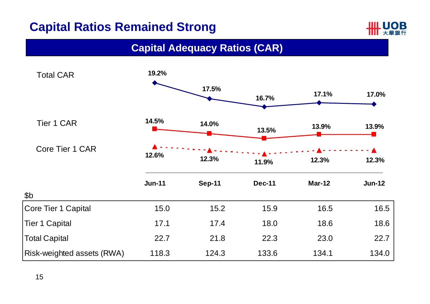# **Capital Ratios Remained Strong**



#### **Capital Adequacy Ratios (CAR)**

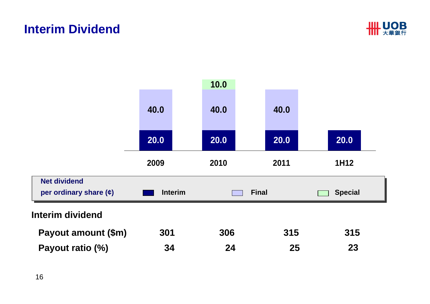#### **Interim Dividend**



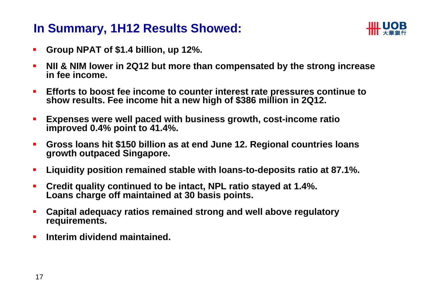### **In Summary, 1H12 Results Showed:**



- $\blacksquare$ **Group NPAT of \$1.4 billion, up 12%.**
- $\blacksquare$  **NII & NIM lower in 2Q12 but more than compensated by the strong increase in fee income.**
- $\blacksquare$ **Efforts to boost fee income to counter interest rate pressures continue to show results. Fee income hit a new high of \$386 million in 2Q12.**
- $\blacksquare$  **Expenses were well paced with business growth, cost-income ratio improved 0.4% point to 41.4%.**
- $\blacksquare$  **Gross loans hit \$150 billion as at end June 12. Regional countries loans growth outpaced Singapore.**
- $\blacksquare$ **Liquidity position remained stable with loans-to-deposits ratio at 87.1%.**
- $\blacksquare$  **Credit quality continued to be intact, NPL ratio stayed at 1.4%. Loans charge off maintained at 30 basis points.**
- п **Capital adequacy ratios remained strong and well above regulatory requirements.**
- $\blacksquare$ **Interim dividend maintained.**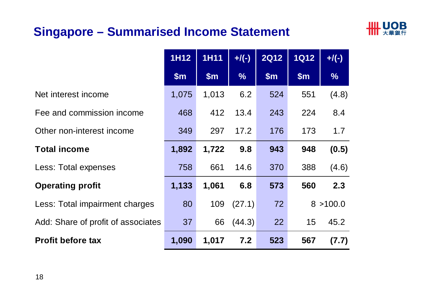# **Singapore – Summarised Income Statement**



|                                    | 1H12  | <b>1H11</b> | $+$ /(-)      | <b>2Q12</b> | <b>1Q12</b> | $+$ /(-)      |
|------------------------------------|-------|-------------|---------------|-------------|-------------|---------------|
|                                    | \$m\$ | \$m\$       | $\frac{9}{6}$ | \$m\$       | \$m\$       | $\frac{9}{6}$ |
| Net interest income                | 1,075 | 1,013       | 6.2           | 524         | 551         | (4.8)         |
| Fee and commission income          | 468   | 412         | 13.4          | 243         | 224         | 8.4           |
| Other non-interest income          | 349   | 297         | 17.2          | 176         | 173         | 1.7           |
| <b>Total income</b>                | 1,892 | 1,722       | 9.8           | 943         | 948         | (0.5)         |
| Less: Total expenses               | 758   | 661         | 14.6          | 370         | 388         | (4.6)         |
| <b>Operating profit</b>            | 1,133 | 1,061       | 6.8           | 573         | 560         | 2.3           |
| Less: Total impairment charges     | 80    | 109         | (27.1)        | 72          | 8           | >100.0        |
| Add: Share of profit of associates | 37    | 66          | (44.3)        | 22          | 15          | 45.2          |
| <b>Profit before tax</b>           | 1,090 | 1,017       | 7.2           | 523         | 567         | (7.7)         |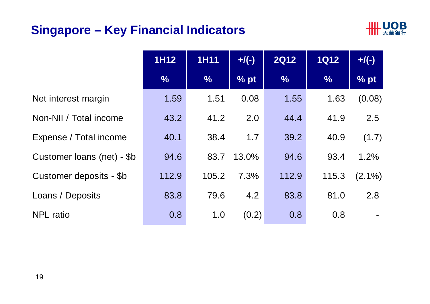# **Singapore – Key Financial Indicators**



|                            | <b>1H12</b>   | <b>1H11</b>   | $+$ /(-) | <b>2Q12</b>   | <b>1Q12</b>   | $+$ /(-)  |
|----------------------------|---------------|---------------|----------|---------------|---------------|-----------|
|                            | $\frac{0}{6}$ | $\frac{9}{6}$ | % pt     | $\frac{0}{6}$ | $\frac{0}{6}$ | % pt      |
| Net interest margin        | 1.59          | 1.51          | 0.08     | 1.55          | 1.63          | (0.08)    |
| Non-NII / Total income     | 43.2          | 41.2          | 2.0      | 44.4          | 41.9          | 2.5       |
| Expense / Total income     | 40.1          | 38.4          | 1.7      | 39.2          | 40.9          | (1.7)     |
| Customer loans (net) - \$b | 94.6          | 83.7          | 13.0%    | 94.6          | 93.4          | 1.2%      |
| Customer deposits - \$b    | 112.9         | 105.2         | 7.3%     | 112.9         | 115.3         | $(2.1\%)$ |
| Loans / Deposits           | 83.8          | 79.6          | 4.2      | 83.8          | 81.0          | 2.8       |
| <b>NPL</b> ratio           | 0.8           | 1.0           | (0.2)    | 0.8           | 0.8           |           |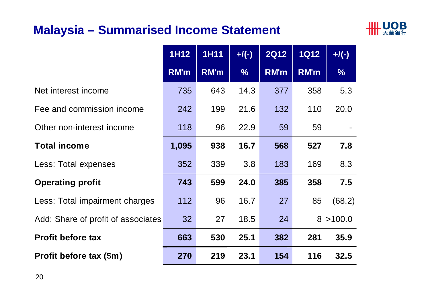### **Malaysia – Summarised Income Statement**



|                                    | <b>1H12</b> | <b>1H11</b> | $+/(-)$       | <b>2Q12</b> | <b>1Q12</b> | $+$ /(-)      |
|------------------------------------|-------------|-------------|---------------|-------------|-------------|---------------|
|                                    | <b>RM'm</b> | <b>RM'm</b> | $\frac{0}{6}$ | RM'm        | RM'm        | $\frac{0}{0}$ |
| Net interest income                | 735         | 643         | 14.3          | 377         | 358         | 5.3           |
| Fee and commission income          | 242         | 199         | 21.6          | 132         | 110         | 20.0          |
| Other non-interest income          | 118         | 96          | 22.9          | 59          | 59          |               |
| <b>Total income</b>                | 1,095       | 938         | 16.7          | 568         | 527         | 7.8           |
| Less: Total expenses               | 352         | 339         | 3.8           | 183         | 169         | 8.3           |
| <b>Operating profit</b>            | 743         | 599         | 24.0          | 385         | 358         | 7.5           |
| Less: Total impairment charges     | 112         | 96          | 16.7          | 27          | 85          | (68.2)        |
| Add: Share of profit of associates | 32          | 27          | 18.5          | 24          |             | 8 > 100.0     |
| <b>Profit before tax</b>           | 663         | 530         | 25.1          | 382         | 281         | 35.9          |
| Profit before tax (\$m)            | 270         | 219         | 23.1          | 154         | 116         | 32.5          |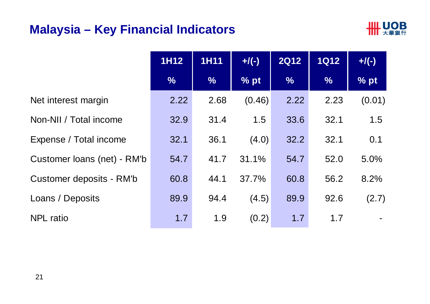#### **Malaysia – Key Financial Indicators**



|                             | <b>1H12</b>   | <b>1H11</b>   | $+/(-)$ | <b>2Q12</b>   | <b>1Q12</b>   | $+$ /(-) |
|-----------------------------|---------------|---------------|---------|---------------|---------------|----------|
|                             | $\frac{9}{6}$ | $\frac{0}{6}$ | % pt    | $\frac{9}{6}$ | $\frac{0}{6}$ | % pt     |
| Net interest margin         | 2.22          | 2.68          | (0.46)  | 2.22          | 2.23          | (0.01)   |
| Non-NII / Total income      | 32.9          | 31.4          | 1.5     | 33.6          | 32.1          | 1.5      |
| Expense / Total income      | 32.1          | 36.1          | (4.0)   | 32.2          | 32.1          | 0.1      |
| Customer Ioans (net) - RM'b | 54.7          | 41.7          | 31.1%   | 54.7          | 52.0          | 5.0%     |
| Customer deposits - RM'b    | 60.8          | 44.1          | 37.7%   | 60.8          | 56.2          | 8.2%     |
| Loans / Deposits            | 89.9          | 94.4          | (4.5)   | 89.9          | 92.6          | (2.7)    |
| <b>NPL</b> ratio            | 1.7           | 1.9           | (0.2)   | 1.7           | 1.7           |          |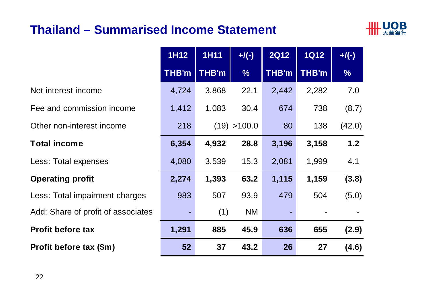### **Thailand – Summarised Income Statement**



|                                    | <b>1H12</b><br><b>1H11</b> |              | <b>2Q12</b><br>$+/(-)$ |              | <b>1Q12</b>  | $+$ /(-)      |
|------------------------------------|----------------------------|--------------|------------------------|--------------|--------------|---------------|
|                                    | THB'm                      | <b>THB'm</b> | $\frac{0}{6}$          | <b>THB'm</b> | <b>THB'm</b> | $\frac{0}{6}$ |
| Net interest income                | 4,724                      | 3,868        | 22.1                   | 2,442        | 2,282        | 7.0           |
| Fee and commission income          | 1,412                      | 1,083        | 30.4                   | 674          | 738          | (8.7)         |
| Other non-interest income          | 218                        |              | (19) > 100.0           | 80           | 138          | (42.0)        |
| <b>Total income</b>                | 6,354                      | 4,932        | 28.8                   | 3,196        | 3,158        | 1.2           |
| Less: Total expenses               | 4,080                      | 3,539        | 15.3                   | 2,081        | 1,999        | 4.1           |
| <b>Operating profit</b>            | 2,274                      | 1,393        | 63.2                   | 1,115        | 1,159        | (3.8)         |
| Less: Total impairment charges     | 983                        | 507          | 93.9                   | 479          | 504          | (5.0)         |
| Add: Share of profit of associates |                            | (1)          | <b>NM</b>              |              |              |               |
| <b>Profit before tax</b>           | 1,291                      | 885          | 45.9                   | 636          | 655          | (2.9)         |
| Profit before tax (\$m)            | 52                         | 37           | 43.2                   | 26           | 27           | (4.6)         |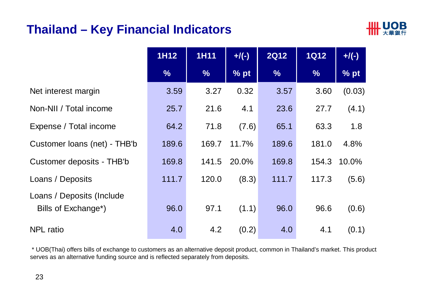#### **Thailand – Key Financial Indicators**



|                                                  | <b>1H12</b>   | <b>1H11</b>   | $+$ /(-) | <b>2Q12</b>   | <b>1Q12</b>   | $+/(-)$ |
|--------------------------------------------------|---------------|---------------|----------|---------------|---------------|---------|
|                                                  | $\frac{0}{6}$ | $\frac{9}{6}$ | % pt     | $\frac{9}{6}$ | $\frac{9}{6}$ | % pt    |
| Net interest margin                              | 3.59          | 3.27          | 0.32     | 3.57          | 3.60          | (0.03)  |
| Non-NII / Total income                           | 25.7          | 21.6          | 4.1      | 23.6          | 27.7          | (4.1)   |
| Expense / Total income                           | 64.2          | 71.8          | (7.6)    | 65.1          | 63.3          | 1.8     |
| Customer Ioans (net) - THB'b                     | 189.6         | 169.7         | 11.7%    | 189.6         | 181.0         | 4.8%    |
| Customer deposits - THB'b                        | 169.8         | 141.5         | 20.0%    | 169.8         | 154.3         | 10.0%   |
| Loans / Deposits                                 | 111.7         | 120.0         | (8.3)    | 111.7         | 117.3         | (5.6)   |
| Loans / Deposits (Include<br>Bills of Exchange*) | 96.0          | 97.1          | (1.1)    | 96.0          | 96.6          | (0.6)   |
| <b>NPL</b> ratio                                 | 4.0           | 4.2           | (0.2)    | 4.0           | 4.1           | (0.1)   |

\* UOB(Thai) offers bills of exchange to customers as an alternative deposit product, common in Thailand's market. This product serves as an alternative funding source and is reflected separately from deposits.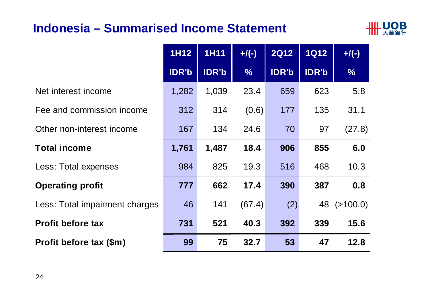#### **Indonesia – Summarised Income Statement**



|                                | <b>1H12</b>  | <b>1H11</b>  | $+$ /(-)      | <b>2Q12</b>  | <b>1Q12</b>  | $+$ /(-)      |
|--------------------------------|--------------|--------------|---------------|--------------|--------------|---------------|
|                                | <b>IDR'b</b> | <b>IDR'b</b> | $\frac{0}{6}$ | <b>IDR'b</b> | <b>IDR'b</b> | $\frac{0}{0}$ |
| Net interest income            | 1,282        | 1,039        | 23.4          | 659          | 623          | 5.8           |
| Fee and commission income      | 312          | 314          | (0.6)         | 177          | 135          | 31.1          |
| Other non-interest income      | 167          | 134          | 24.6          | 70           | 97           | (27.8)        |
| <b>Total income</b>            | 1,761        | 1,487        | 18.4          | 906          | 855          | 6.0           |
| Less: Total expenses           | 984          | 825          | 19.3          | 516          | 468          | 10.3          |
| <b>Operating profit</b>        | 777          | 662          | 17.4          | 390          | 387          | 0.8           |
| Less: Total impairment charges | 46           | 141          | (67.4)        | (2)          | 48           | ( > 100.0)    |
| <b>Profit before tax</b>       | 731          | 521          | 40.3          | 392          | 339          | 15.6          |
| Profit before tax (\$m)        | 99           | 75           | 32.7          | 53           | 47           | 12.8          |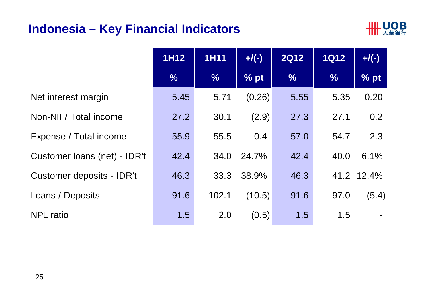#### **Indonesia – Key Financial Indicators**



|                              | <b>1H12</b>   | <b>1H11</b>   | $+/(-)$ | <b>2Q12</b>   | <b>1Q12</b>   | $+$ /(-)   |
|------------------------------|---------------|---------------|---------|---------------|---------------|------------|
|                              | $\frac{9}{6}$ | $\frac{0}{6}$ | % pt    | $\frac{9}{6}$ | $\frac{9}{6}$ | % pt       |
| Net interest margin          | 5.45          | 5.71          | (0.26)  | 5.55          | 5.35          | 0.20       |
| Non-NII / Total income       | 27.2          | 30.1          | (2.9)   | 27.3          | 27.1          | 0.2        |
| Expense / Total income       | 55.9          | 55.5          | 0.4     | 57.0          | 54.7          | 2.3        |
| Customer Ioans (net) - IDR't | 42.4          | 34.0          | 24.7%   | 42.4          | 40.0          | 6.1%       |
| Customer deposits - IDR't    | 46.3          | 33.3          | 38.9%   | 46.3          |               | 41.2 12.4% |
| Loans / Deposits             | 91.6          | 102.1         | (10.5)  | 91.6          | 97.0          | (5.4)      |
| <b>NPL</b> ratio             | 1.5           | 2.0           | (0.5)   | 1.5           | 1.5           |            |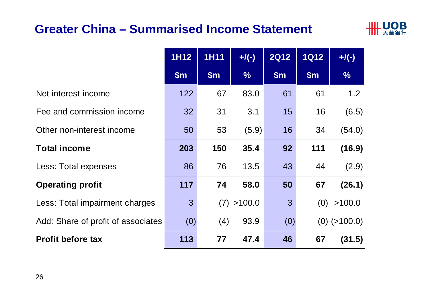#### **Greater China – Summarised Income Statement**



|                                    | 1H12          | <b>1H11</b>   | $+$ /(-)      | <b>2Q12</b>    | <b>1Q12</b> | $+$ /(-)       |
|------------------------------------|---------------|---------------|---------------|----------------|-------------|----------------|
|                                    | $\mathsf{Sm}$ | $\mathsf{Sm}$ | $\frac{9}{6}$ | \$m\$          | \$m\$       | $\frac{9}{6}$  |
| Net interest income                | 122           | 67            | 83.0          | 61             | 61          | 1.2            |
| Fee and commission income          | 32            | 31            | 3.1           | 15             | 16          | (6.5)          |
| Other non-interest income          | 50            | 53            | (5.9)         | 16             | 34          | (54.0)         |
| <b>Total income</b>                | 203           | 150           | 35.4          | 92             | 111         | (16.9)         |
| Less: Total expenses               | 86            | 76            | 13.5          | 43             | 44          | (2.9)          |
| <b>Operating profit</b>            | 117           | 74            | 58.0          | 50             | 67          | (26.1)         |
| Less: Total impairment charges     | $\mathbf{3}$  | (7)           | >100.0        | $\mathfrak{B}$ | (0)         | >100.0         |
| Add: Share of profit of associates | (0)           | (4)           | 93.9          | (0)            |             | $(0)$ (>100.0) |
| <b>Profit before tax</b>           | 113           | 77            | 47.4          | 46             | 67          | (31.5)         |